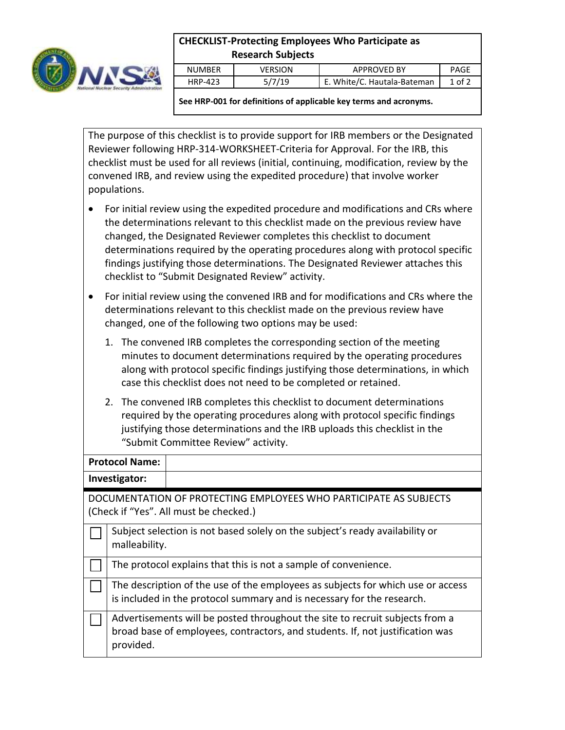

## **CHECKLIST-Protecting Employees Who Participate as Research Subjects**

| NUMBER  | /ERSION | <b>APPROVED BY</b>          | PAGE   |
|---------|---------|-----------------------------|--------|
| HRP-423 | 5/7/19  | E. White/C. Hautala-Bateman | 1 of 2 |

**See HRP-001 for definitions of applicable key terms and acronyms.**

The purpose of this checklist is to provide support for IRB members or the Designated Reviewer following HRP-314-WORKSHEET-Criteria for Approval. For the IRB, this checklist must be used for all reviews (initial, continuing, modification, review by the convened IRB, and review using the expedited procedure) that involve worker populations.

- For initial review using the expedited procedure and modifications and CRs where the determinations relevant to this checklist made on the previous review have changed, the Designated Reviewer completes this checklist to document determinations required by the operating procedures along with protocol specific findings justifying those determinations. The Designated Reviewer attaches this checklist to "Submit Designated Review" activity.
- For initial review using the convened IRB and for modifications and CRs where the determinations relevant to this checklist made on the previous review have changed, one of the following two options may be used:
	- 1. The convened IRB completes the corresponding section of the meeting minutes to document determinations required by the operating procedures along with protocol specific findings justifying those determinations, in which case this checklist does not need to be completed or retained.
	- 2. The convened IRB completes this checklist to document determinations required by the operating procedures along with protocol specific findings justifying those determinations and the IRB uploads this checklist in the "Submit Committee Review" activity.

## **Protocol Name: Investigator:** DOCUMENTATION OF PROTECTING EMPLOYEES WHO PARTICIPATE AS SUBJECTS (Check if "Yes". All must be checked.) Subject selection is not based solely on the subject's ready availability or malleability. The protocol explains that this is not a sample of convenience. The description of the use of the employees as subjects for which use or access is included in the protocol summary and is necessary for the research.  $\Box$  Advertisements will be posted throughout the site to recruit subjects from a broad base of employees, contractors, and students. If, not justification was provided.